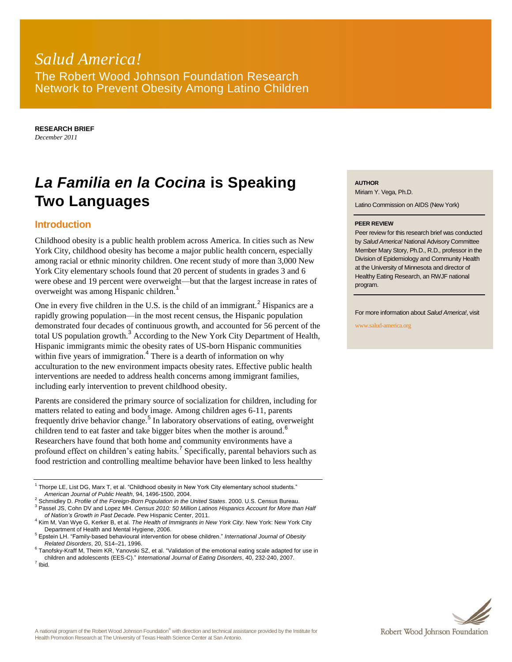# *Salud America!* The Robert Wood Johnson Foundation Research Network to Prevent Obesity Among Latino Children

**RESEARCH BRIEF** *December 2011*

# *La Familia en la Cocina* **is Speaking Two Languages**

## **Introduction**

Childhood obesity is a public health problem across America. In cities such as New York City, childhood obesity has become a major public health concern, especially among racial or ethnic minority children. One recent study of more than 3,000 New York City elementary schools found that 20 percent of students in grades 3 and 6 were obese and 19 percent were overweight—but that the largest increase in rates of overweight was among Hispanic children.<sup>1</sup>

One in every five children in the U.S. is the child of an immigrant.<sup>2</sup> Hispanics are a rapidly growing population—in the most recent census, the Hispanic population demonstrated four decades of continuous growth, and accounted for 56 percent of the total US population growth.<sup>3</sup> According to the New York City Department of Health, Hispanic immigrants mimic the obesity rates of US-born Hispanic communities within five years of immigration.<sup>4</sup> There is a dearth of information on why acculturation to the new environment impacts obesity rates. Effective public health interventions are needed to address health concerns among immigrant families, including early intervention to prevent childhood obesity.

Parents are considered the primary source of socialization for children, including for matters related to eating and body image. Among children ages 6-11, parents frequently drive behavior change.<sup>5</sup> In laboratory observations of eating, overweight children tend to eat faster and take bigger bites when the mother is around.<sup>6</sup> Researchers have found that both home and community environments have a profound effect on children's eating habits.<sup>7</sup> Specifically, parental behaviors such as food restriction and controlling mealtime behavior have been linked to less healthy

<sup>3</sup> Passel JS, Cohn DV and Lopez MH. *Census 2010: 50 Million Latinos Hispanics Account for More than Half of Nation's Growth in Past Decade*. Pew Hispanic Center, 2011.

**AUTHOR**

Miriam Y. Vega, Ph.D.

Latino Commission on AIDS (New York)

#### **PEER REVIEW**

Peer review for this research brief was conducted by *Salud America!* National Advisory Committee Member Mary Story, Ph.D., R.D., professor in the Division of Epidemiology and Community Health at the University of Minnesota and director of Healthy Eating Research, an RWJF national program.

For more information about *Salud America!*, visit

www.salud-america.org

 $1$  Thorpe LE, List DG, Marx T, et al. "Childhood obesity in New York City elementary school students." *American Journal of Public Health*, 94, 1496-1500, 2004.

<sup>2</sup> Schmidley D. *Profile of the Foreign-Born Population in the United States*. 2000. U.S. Census Bureau.

<sup>4</sup> Kim M, Van Wye G, Kerker B, et al. *The Health of Immigrants in New York City*. New York: New York City Department of Health and Mental Hygiene, 2006.

<sup>5</sup> Epstein LH. "Family-based behavioural intervention for obese children." *International Journal of Obesity Related Disorders*, 20, S14–21, 1996.

<sup>&</sup>lt;sup>6</sup> Tanofsky-Kraff M, Theim KR, Yanovski SZ, et al. "Validation of the emotional eating scale adapted for use in children and adolescents (EES-C)." *International Journal of Eating Disorders*, 40, 232-240, 2007. 7 Ibid.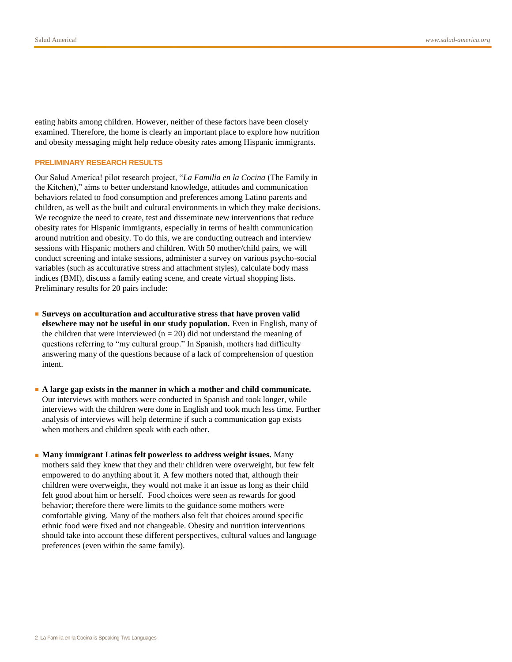eating habits among children. However, neither of these factors have been closely examined. Therefore, the home is clearly an important place to explore how nutrition and obesity messaging might help reduce obesity rates among Hispanic immigrants.

#### **PRELIMINARY RESEARCH RESULTS**

Our Salud America! pilot research project, "*La Familia en la Cocina* (The Family in the Kitchen)," aims to better understand knowledge, attitudes and communication behaviors related to food consumption and preferences among Latino parents and children, as well as the built and cultural environments in which they make decisions. We recognize the need to create, test and disseminate new interventions that reduce obesity rates for Hispanic immigrants, especially in terms of health communication around nutrition and obesity. To do this, we are conducting outreach and interview sessions with Hispanic mothers and children. With 50 mother/child pairs, we will conduct screening and intake sessions, administer a survey on various psycho-social variables (such as acculturative stress and attachment styles), calculate body mass indices (BMI), discuss a family eating scene, and create virtual shopping lists. Preliminary results for 20 pairs include:

- Surveys on acculturation and acculturative stress that have proven valid **elsewhere may not be useful in our study population.** Even in English, many of the children that were interviewed ( $n = 20$ ) did not understand the meaning of questions referring to "my cultural group." In Spanish, mothers had difficulty answering many of the questions because of a lack of comprehension of question intent.
- **A large gap exists in the manner in which a mother and child communicate.** Our interviews with mothers were conducted in Spanish and took longer, while interviews with the children were done in English and took much less time. Further analysis of interviews will help determine if such a communication gap exists when mothers and children speak with each other.
- **Many immigrant Latinas felt powerless to address weight issues.** Many mothers said they knew that they and their children were overweight, but few felt empowered to do anything about it. A few mothers noted that, although their children were overweight, they would not make it an issue as long as their child felt good about him or herself. Food choices were seen as rewards for good behavior; therefore there were limits to the guidance some mothers were comfortable giving. Many of the mothers also felt that choices around specific ethnic food were fixed and not changeable. Obesity and nutrition interventions should take into account these different perspectives, cultural values and language preferences (even within the same family).